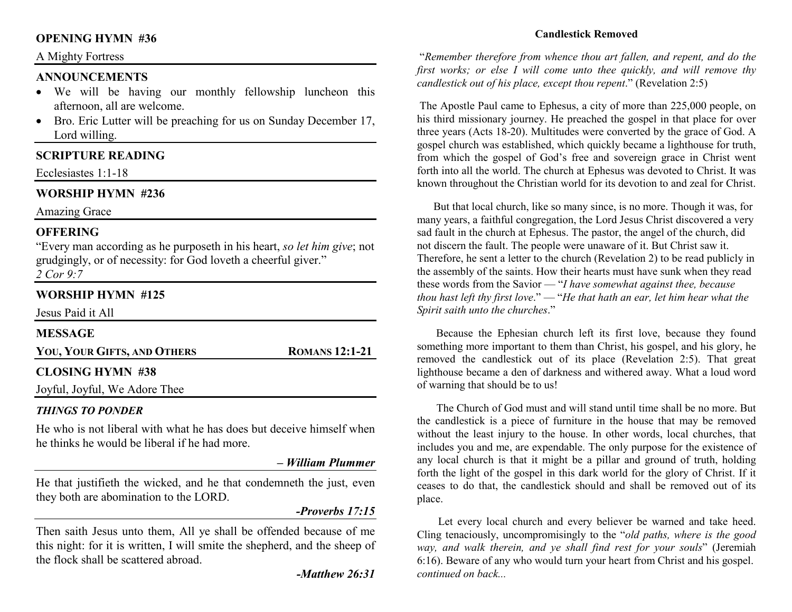# **OPENING HYMN #36**

### A Mighty Fortress

### **ANNOUNCEMENTS**

- We will be having our monthly fellowship luncheon this afternoon, all are welcome.
- Bro. Eric Lutter will be preaching for us on Sunday December 17, Lord willing.

# **SCRIPTURE READING**

Ecclesiastes 1:1-18

## **WORSHIP HYMN #236**

Amazing Grace

## **OFFERING**

 "Every man according as he purposeth in his heart, *so let him give*; not grudgingly, or of necessity: for God loveth a cheerful giver." *2 Cor 9:7*

## **WORSHIP HYMN #125**

Jesus Paid it All **MESSAGE YOU, YOUR GIFTS, AND ROMANS 12:1-21 CLOSING HYMN #38** 

Joyful, Joyful, We Adore Thee

### *THINGS TO PONDER*

He who is not liberal with what he has does but deceive himself when he thinks he would be liberal if he had more.

### *– William Plummer*

He that justifieth the wicked, and he that condemneth the just, even they both are abomination to the LORD.

### *-Proverbs 17:15*

Then saith Jesus unto them, All ye shall be offended because of me this night: for it is written, I will smite the shepherd, and the sheep of the flock shall be scattered abroad.

*-Matthew 26:31* 

### **Candlestick Removed**

 "*Remember therefore from whence thou art fallen, and repent, and do the first works; or else I will come unto thee quickly, and will remove thy candlestick out of his place, except thou repent*." (Revelation 2:5)

 The Apostle Paul came to Ephesus, a city of more than 225,000 people, on his third missionary journey. He preached the gospel in that place for over three years (Acts 18-20). Multitudes were converted by the grace of God. A gospel church was established, which quickly became a lighthouse for truth, from which the gospel of God's free and sovereign grace in Christ went forth into all the world. The church at Ephesus was devoted to Christ. It was known throughout the Christian world for its devotion to and zeal for Christ.

 But that local church, like so many since, is no more. Though it was, for many years, a faithful congregation, the Lord Jesus Christ discovered a very sad fault in the church at Ephesus. The pastor, the angel of the church, did not discern the fault. The people were unaware of it. But Christ saw it. Therefore, he sent a letter to the church (Revelation 2) to be read publicly in the assembly of the saints. How their hearts must have sunk when they read these words from the Savior — "*I have somewhat against thee, because thou hast left thy first love*." — "*He that hath an ear, let him hear what the Spirit saith unto the churches*."

 Because the Ephesian church left its first love, because they found something more important to them than Christ, his gospel, and his glory, he removed the candlestick out of its place (Revelation 2:5). That great lighthouse became a den of darkness and withered away. What a loud word of warning that should be to us!

 The Church of God must and will stand until time shall be no more. But the candlestick is a piece of furniture in the house that may be removed without the least injury to the house. In other words, local churches, that includes you and me, are expendable. The only purpose for the existence of any local church is that it might be a pillar and ground of truth, holding forth the light of the gospel in this dark world for the glory of Christ. If it ceases to do that, the candlestick should and shall be removed out of its place.

 Let every local church and every believer be warned and take heed. Cling tenaciously, uncompromisingly to the "*old paths, where is the good way, and walk therein, and ye shall find rest for your souls*" (Jeremiah 6:16). Beware of any who would turn your heart from Christ and his gospel. *continued on back...*